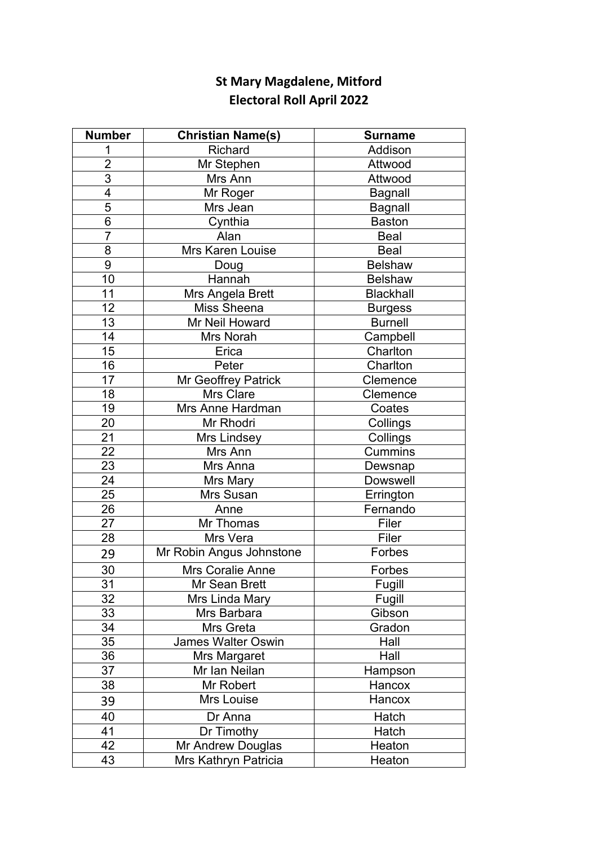## **St Mary Magdalene, Mitford Electoral Roll April 2022**

| <b>Number</b>  | <b>Christian Name(s)</b>  | <b>Surname</b>   |
|----------------|---------------------------|------------------|
| 1              | <b>Richard</b>            | Addison          |
| $\overline{2}$ | Mr Stephen                | Attwood          |
| $\overline{3}$ | Mrs Ann                   | Attwood          |
| $\overline{4}$ | Mr Roger                  | <b>Bagnall</b>   |
| 5              | Mrs Jean                  | <b>Bagnall</b>   |
| $\overline{6}$ | Cynthia                   | <b>Baston</b>    |
| $\overline{7}$ | Alan                      | <b>Beal</b>      |
| 8              | Mrs Karen Louise          | <b>Beal</b>      |
| 9              | Doug                      | <b>Belshaw</b>   |
| 10             | Hannah                    | <b>Belshaw</b>   |
| 11             | Mrs Angela Brett          | <b>Blackhall</b> |
| 12             | Miss Sheena               | <b>Burgess</b>   |
| 13             | Mr Neil Howard            | <b>Burnell</b>   |
| 14             | Mrs Norah                 | Campbell         |
| 15             | Erica                     | Charlton         |
| 16             | Peter                     | Charlton         |
| 17             | Mr Geoffrey Patrick       | Clemence         |
| 18             | Mrs Clare                 | Clemence         |
| 19             | Mrs Anne Hardman          | Coates           |
| 20             | Mr Rhodri                 | Collings         |
| 21             | Mrs Lindsey               | Collings         |
| 22             | Mrs Ann                   | <b>Cummins</b>   |
| 23             | Mrs Anna                  | Dewsnap          |
| 24             | Mrs Mary                  | <b>Dowswell</b>  |
| 25             | Mrs Susan                 | Errington        |
| 26             | Anne                      | Fernando         |
| 27             | Mr Thomas                 | Filer            |
| 28             | Mrs Vera                  | Filer            |
| 29             | Mr Robin Angus Johnstone  | Forbes           |
| 30             | <b>Mrs Coralie Anne</b>   | Forbes           |
| 31             | Mr Sean Brett             | Fugill           |
| 32             | Mrs Linda Mary            | Fugill           |
| 33             | Mrs Barbara               | Gibson           |
| 34             | Mrs Greta                 | Gradon           |
| 35             | <b>James Walter Oswin</b> | Hall             |
| 36             | Mrs Margaret              | Hall             |
| 37             | Mr Ian Neilan             | Hampson          |
| 38             | Mr Robert                 | Hancox           |
| 39             | Mrs Louise                | Hancox           |
| 40             | Dr Anna                   | Hatch            |
| 41             | Dr Timothy                | Hatch            |
| 42             | Mr Andrew Douglas         | Heaton           |
| 43             | Mrs Kathryn Patricia      | Heaton           |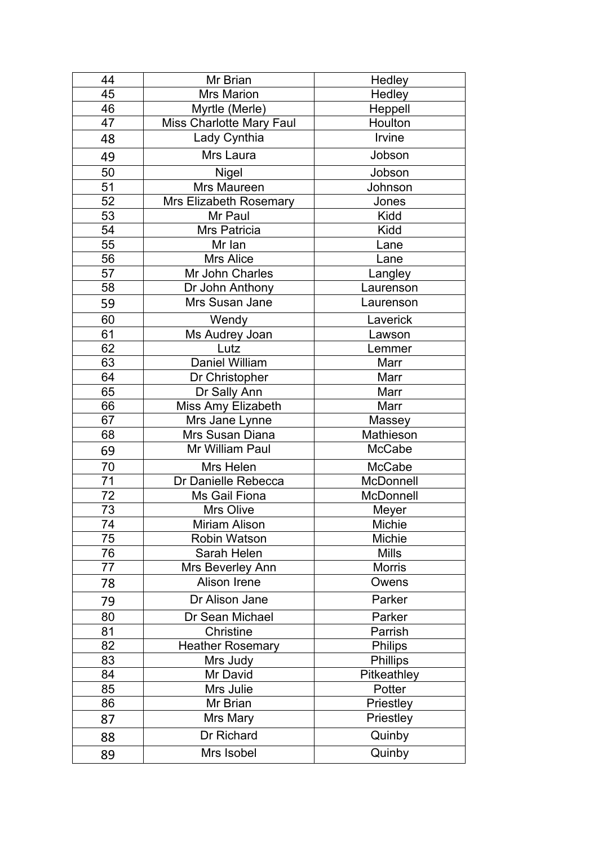| 44              | Mr Brian                      | Hedley           |
|-----------------|-------------------------------|------------------|
| 45              | <b>Mrs Marion</b>             | Hedley           |
| 46              | Myrtle (Merle)                | Heppell          |
| 47              | Miss Charlotte Mary Faul      | Houlton          |
| 48              | Lady Cynthia                  | Irvine           |
| 49              | Mrs Laura                     | Jobson           |
| 50              | <b>Nigel</b>                  | Jobson           |
| 51              | Mrs Maureen                   | Johnson          |
| 52              | <b>Mrs Elizabeth Rosemary</b> | Jones            |
| 53              | Mr Paul                       | Kidd             |
| 54              | <b>Mrs Patricia</b>           | Kidd             |
| 55              | Mr Ian                        | Lane             |
| 56              | Mrs Alice                     | Lane             |
| 57              | Mr John Charles               | Langley          |
| 58              | Dr John Anthony               | Laurenson        |
| 59              | Mrs Susan Jane                | Laurenson        |
| 60              | Wendy                         | Laverick         |
| 61              | Ms Audrey Joan                | Lawson           |
| 62              | Lutz                          | Lemmer           |
| 63              | <b>Daniel William</b>         | Marr             |
| 64              | Dr Christopher                | Marr             |
| 65              | Dr Sally Ann                  | Marr             |
| 66              | Miss Amy Elizabeth            | Marr             |
| 67              | Mrs Jane Lynne                | Massey           |
| 68              | Mrs Susan Diana               | Mathieson        |
| 69              | Mr William Paul               | McCabe           |
| 70              | Mrs Helen                     | McCabe           |
| 71              | Dr Danielle Rebecca           | McDonnell        |
| $\overline{72}$ | Ms Gail Fiona                 | <b>McDonnell</b> |
| 73              | Mrs Olive                     | Meyer            |
| 74              | <b>Miriam Alison</b>          | Michie           |
| 75              | <b>Robin Watson</b>           | Michie           |
| 76              | Sarah Helen                   | <b>Mills</b>     |
| 77              | Mrs Beverley Ann              | <b>Morris</b>    |
| 78              | Alison Irene                  | Owens            |
| 79              | Dr Alison Jane                | Parker           |
| 80              | Dr Sean Michael               | Parker           |
| 81              | Christine                     | Parrish          |
| 82              | <b>Heather Rosemary</b>       | <b>Philips</b>   |
| 83              | Mrs Judy                      | Phillips         |
| 84              | Mr David                      | Pitkeathley      |
| 85              | Mrs Julie                     | Potter           |
| 86              | Mr Brian                      | Priestley        |
| 87              | Mrs Mary                      | Priestley        |
| 88              | Dr Richard                    | Quinby           |
| 89              | Mrs Isobel                    | Quinby           |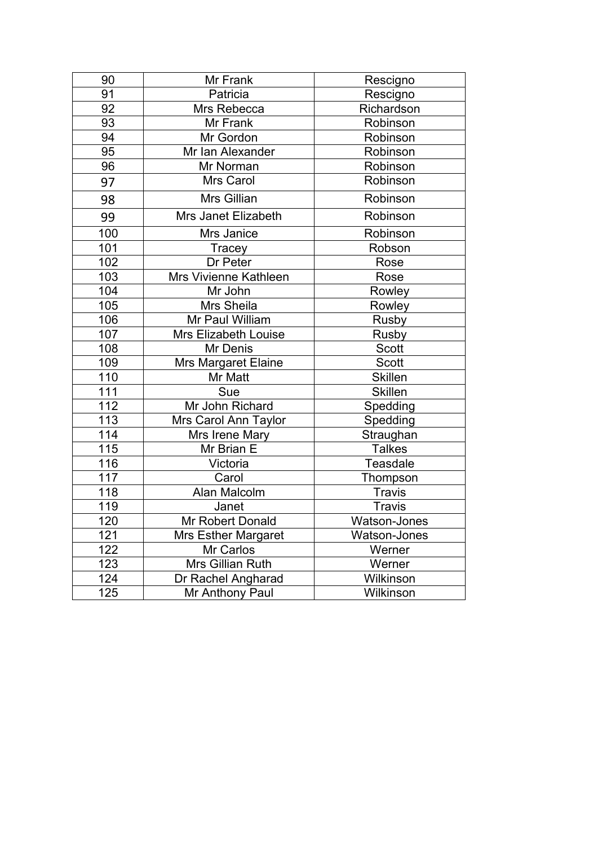| 90  | Mr Frank                     | Rescigno            |
|-----|------------------------------|---------------------|
| 91  | Patricia                     | Rescigno            |
| 92  | Mrs Rebecca                  | Richardson          |
| 93  | Mr Frank                     | Robinson            |
| 94  | Mr Gordon                    | Robinson            |
| 95  | Mr Ian Alexander             | Robinson            |
| 96  | Mr Norman                    | Robinson            |
| 97  | Mrs Carol                    | Robinson            |
| 98  | Mrs Gillian                  | Robinson            |
| 99  | <b>Mrs Janet Elizabeth</b>   | Robinson            |
| 100 | Mrs Janice                   | Robinson            |
| 101 | Tracey                       | Robson              |
| 102 | Dr Peter                     | Rose                |
| 103 | <b>Mrs Vivienne Kathleen</b> | Rose                |
| 104 | Mr John                      | Rowley              |
| 105 | Mrs Sheila                   | Rowley              |
| 106 | Mr Paul William              | <b>Rusby</b>        |
| 107 | <b>Mrs Elizabeth Louise</b>  | Rusby               |
| 108 | Mr Denis                     | <b>Scott</b>        |
| 109 | <b>Mrs Margaret Elaine</b>   | <b>Scott</b>        |
| 110 | Mr Matt                      | <b>Skillen</b>      |
| 111 | Sue                          | <b>Skillen</b>      |
| 112 | Mr John Richard              | Spedding            |
| 113 | Mrs Carol Ann Taylor         | Spedding            |
| 114 | Mrs Irene Mary               | Straughan           |
| 115 | Mr Brian E                   | <b>Talkes</b>       |
| 116 | Victoria                     | <b>Teasdale</b>     |
| 117 | Carol                        | Thompson            |
| 118 | Alan Malcolm                 | <b>Travis</b>       |
| 119 | Janet                        | <b>Travis</b>       |
| 120 | Mr Robert Donald             | Watson-Jones        |
| 121 | Mrs Esther Margaret          | <b>Watson-Jones</b> |
| 122 | Mr Carlos                    | Werner              |
| 123 | Mrs Gillian Ruth             | Werner              |
| 124 | Dr Rachel Angharad           | Wilkinson           |
| 125 | Mr Anthony Paul              | Wilkinson           |